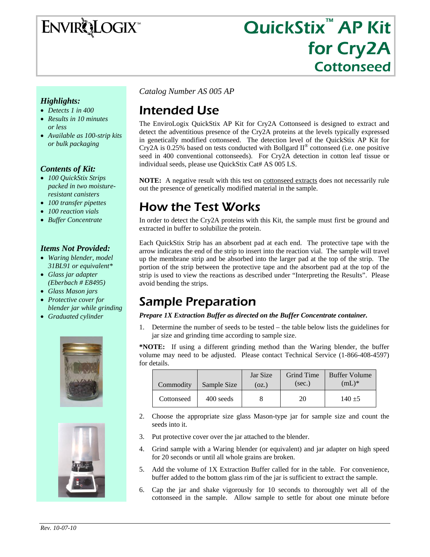ENVIRQLOGIX

# QuickStix<sup>™</sup> AP Kit for Cry2A Cottonseed

#### *Highlights:*

- *Detects 1 in 400*
- *Results in 10 minutes or less*
- *Available as 100-strip kits or bulk packaging*

#### *Contents of Kit:*

- *100 QuickStix Strips packed in two moistureresistant canisters*
- *100 transfer pipettes*
- *100 reaction vials*
- *Buffer Concentrate*

#### *Items Not Provided:*

- *Waring blender, model 31BL91 or equivalent\**
- *Glass jar adapter (Eberbach # E8495)*
- *Glass Mason jars*
- *Protective cover for blender jar while grinding*
- *Graduated cylinder*





*Catalog Number AS 005 AP* 

# Intended Use

The EnviroLogix QuickStix AP Kit for Cry2A Cottonseed is designed to extract and detect the adventitious presence of the Cry2A proteins at the levels typically expressed in genetically modified cottonseed. The detection level of the QuickStix AP Kit for Cry2A is 0.25% based on tests conducted with Bollgard  $II^{\circledcirc}$  cottonseed (i.e. one positive seed in 400 conventional cottonseeds). For Cry2A detection in cotton leaf tissue or individual seeds, please use QuickStix Cat# AS 005 LS.

**NOTE:** A negative result with this test on **cottonseed** extracts does not necessarily rule out the presence of genetically modified material in the sample.

## How the Test Works

In order to detect the Cry2A proteins with this Kit, the sample must first be ground and extracted in buffer to solubilize the protein.

Each QuickStix Strip has an absorbent pad at each end. The protective tape with the arrow indicates the end of the strip to insert into the reaction vial. The sample will travel up the membrane strip and be absorbed into the larger pad at the top of the strip. The portion of the strip between the protective tape and the absorbent pad at the top of the strip is used to view the reactions as described under "Interpreting the Results". Please avoid bending the strips.

## Sample Preparation

*Prepare 1X Extraction Buffer as directed on the Buffer Concentrate container.* 

1. Determine the number of seeds to be tested – the table below lists the guidelines for jar size and grinding time according to sample size.

**\*NOTE:** If using a different grinding method than the Waring blender, the buffer volume may need to be adjusted. Please contact Technical Service (1-866-408-4597) for details.

| Commodity  | Sample Size | Jar Size<br>(oz.) | Grind Time<br>(sec.) | <b>Buffer Volume</b><br>$(mL)^*$ |
|------------|-------------|-------------------|----------------------|----------------------------------|
| Cottonseed | 400 seeds   |                   | 20                   | $140 + 5$                        |

- 2. Choose the appropriate size glass Mason-type jar for sample size and count the seeds into it.
- 3. Put protective cover over the jar attached to the blender.
- 4. Grind sample with a Waring blender (or equivalent) and jar adapter on high speed for 20 seconds or until all whole grains are broken.
- 5. Add the volume of 1X Extraction Buffer called for in the table. For convenience, buffer added to the bottom glass rim of the jar is sufficient to extract the sample.
- 6. Cap the jar and shake vigorously for 10 seconds to thoroughly wet all of the cottonseed in the sample. Allow sample to settle for about one minute before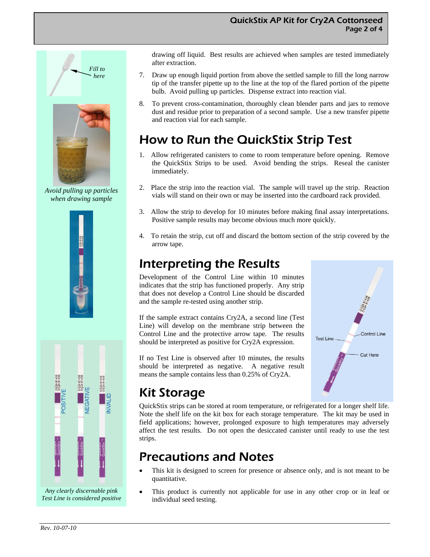

*Avoid pulling up particles when drawing sample* 



*Any clearly discernable pink Test Line is considered positive*  drawing off liquid. Best results are achieved when samples are tested immediately after extraction.

- 7. Draw up enough liquid portion from above the settled sample to fill the long narrow tip of the transfer pipette up to the line at the top of the flared portion of the pipette bulb. Avoid pulling up particles. Dispense extract into reaction vial.
- 8. To prevent cross-contamination, thoroughly clean blender parts and jars to remove dust and residue prior to preparation of a second sample. Use a new transfer pipette and reaction vial for each sample.

# How to Run the QuickStix Strip Test

- 1. Allow refrigerated canisters to come to room temperature before opening. Remove the QuickStix Strips to be used. Avoid bending the strips. Reseal the canister immediately.
- Place the strip into the reaction vial. The sample will travel up the strip. Reaction vials will stand on their own or may be inserted into the cardboard rack provided.
- 3. Allow the strip to develop for 10 minutes before making final assay interpretations. Positive sample results may become obvious much more quickly.
- 4. To retain the strip, cut off and discard the bottom section of the strip covered by the arrow tape.

## Interpreting the Results

Development of the Control Line within 10 minutes indicates that the strip has functioned properly. Any strip that does not develop a Control Line should be discarded and the sample re-tested using another strip.

If the sample extract contains Cry2A, a second line (Test Line) will develop on the membrane strip between the Control Line and the protective arrow tape. The results should be interpreted as positive for Cry2A expression.

If no Test Line is observed after 10 minutes, the results should be interpreted as negative. A negative result means the sample contains less than 0.25% of Cry2A.



# Kit Storage

QuickStix strips can be stored at room temperature, or refrigerated for a longer shelf life. Note the shelf life on the kit box for each storage temperature. The kit may be used in field applications; however, prolonged exposure to high temperatures may adversely affect the test results. Do not open the desiccated canister until ready to use the test strips.

## Precautions and Notes

- This kit is designed to screen for presence or absence only, and is not meant to be quantitative.
- This product is currently not applicable for use in any other crop or in leaf or individual seed testing.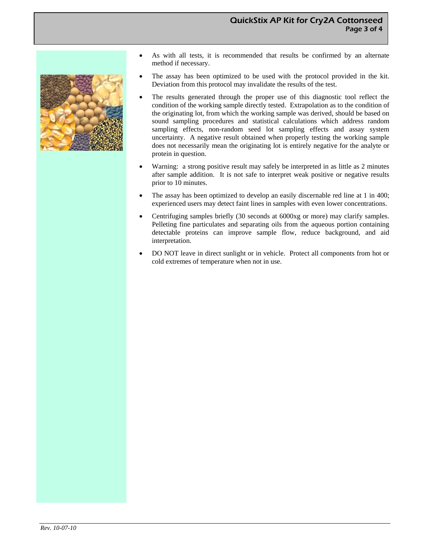

- As with all tests, it is recommended that results be confirmed by an alternate method if necessary.
- The assay has been optimized to be used with the protocol provided in the kit. Deviation from this protocol may invalidate the results of the test.
- The results generated through the proper use of this diagnostic tool reflect the condition of the working sample directly tested. Extrapolation as to the condition of the originating lot, from which the working sample was derived, should be based on sound sampling procedures and statistical calculations which address random sampling effects, non-random seed lot sampling effects and assay system uncertainty. A negative result obtained when properly testing the working sample does not necessarily mean the originating lot is entirely negative for the analyte or protein in question.
- Warning: a strong positive result may safely be interpreted in as little as 2 minutes after sample addition. It is not safe to interpret weak positive or negative results prior to 10 minutes.
- The assay has been optimized to develop an easily discernable red line at 1 in 400; experienced users may detect faint lines in samples with even lower concentrations.
- Centrifuging samples briefly (30 seconds at 6000xg or more) may clarify samples. Pelleting fine particulates and separating oils from the aqueous portion containing detectable proteins can improve sample flow, reduce background, and aid interpretation.
- DO NOT leave in direct sunlight or in vehicle. Protect all components from hot or cold extremes of temperature when not in use.